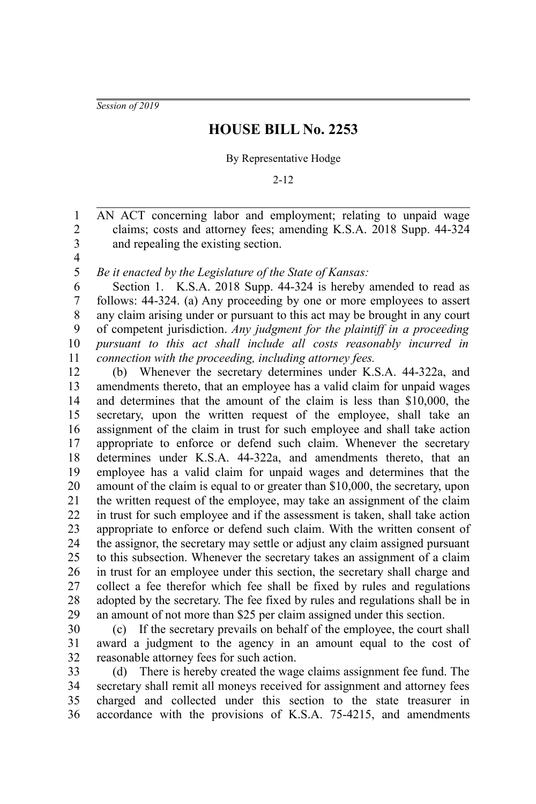*Session of 2019*

## **HOUSE BILL No. 2253**

## By Representative Hodge

## 2-12

AN ACT concerning labor and employment; relating to unpaid wage claims; costs and attorney fees; amending K.S.A. 2018 Supp. 44-324 and repealing the existing section. 1 2 3

4 5

*Be it enacted by the Legislature of the State of Kansas:*

Section 1. K.S.A. 2018 Supp. 44-324 is hereby amended to read as follows: 44-324. (a) Any proceeding by one or more employees to assert any claim arising under or pursuant to this act may be brought in any court of competent jurisdiction. *Any judgment for the plaintiff in a proceeding pursuant to this act shall include all costs reasonably incurred in connection with the proceeding, including attorney fees.* 6 7 8 9 10 11

(b) Whenever the secretary determines under K.S.A. 44-322a, and amendments thereto, that an employee has a valid claim for unpaid wages and determines that the amount of the claim is less than \$10,000, the secretary, upon the written request of the employee, shall take an assignment of the claim in trust for such employee and shall take action appropriate to enforce or defend such claim. Whenever the secretary determines under K.S.A. 44-322a, and amendments thereto, that an employee has a valid claim for unpaid wages and determines that the amount of the claim is equal to or greater than \$10,000, the secretary, upon the written request of the employee, may take an assignment of the claim in trust for such employee and if the assessment is taken, shall take action appropriate to enforce or defend such claim. With the written consent of the assignor, the secretary may settle or adjust any claim assigned pursuant to this subsection. Whenever the secretary takes an assignment of a claim in trust for an employee under this section, the secretary shall charge and collect a fee therefor which fee shall be fixed by rules and regulations adopted by the secretary. The fee fixed by rules and regulations shall be in an amount of not more than \$25 per claim assigned under this section. 12 13 14 15 16 17 18 19 20 21 22 23 24 25 26 27 28 29

(c) If the secretary prevails on behalf of the employee, the court shall award a judgment to the agency in an amount equal to the cost of reasonable attorney fees for such action. 30 31 32

(d) There is hereby created the wage claims assignment fee fund. The secretary shall remit all moneys received for assignment and attorney fees charged and collected under this section to the state treasurer in accordance with the provisions of K.S.A. 75-4215, and amendments 33 34 35 36